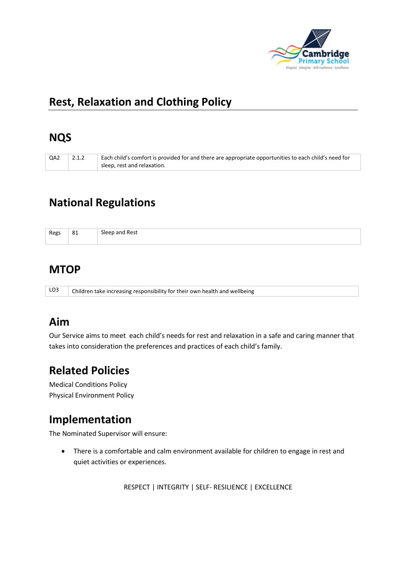

## **Rest, Relaxation and Clothing Policy**

### **NQS**

| QA2 | 2.1.2 | Each child's comfort is provided for and there are appropriate opportunities to each child's need for |
|-----|-------|-------------------------------------------------------------------------------------------------------|
|     |       | $\perp$ sleep, rest and relaxation.                                                                   |

# **National Regulations**

| Regs | 81 | Sleep and Rest |
|------|----|----------------|
|      |    |                |

## **MTOP**

LO3 Children take increasing responsibility for their own health and wellbeing

## **Aim**

Our Service aims to meet each child's needs for rest and relaxation in a safe and caring manner that takes into consideration the preferences and practices of each child's family.

# **Related Policies**

Medical Conditions Policy Physical Environment Policy

## **Implementation**

The Nominated Supervisor will ensure:

• There is a comfortable and calm environment available for children to engage in rest and quiet activities or experiences.

RESPECT | INTEGRITY | SELF- RESILIENCE | EXCELLENCE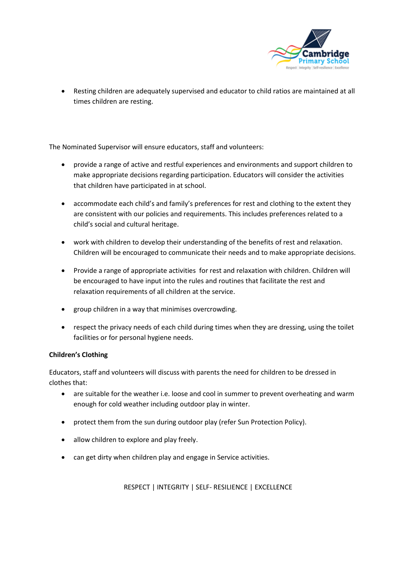

• Resting children are adequately supervised and educator to child ratios are maintained at all times children are resting.

The Nominated Supervisor will ensure educators, staff and volunteers:

- provide a range of active and restful experiences and environments and support children to make appropriate decisions regarding participation. Educators will consider the activities that children have participated in at school.
- accommodate each child's and family's preferences for rest and clothing to the extent they are consistent with our policies and requirements. This includes preferences related to a child's social and cultural heritage.
- work with children to develop their understanding of the benefits of rest and relaxation. Children will be encouraged to communicate their needs and to make appropriate decisions.
- Provide a range of appropriate activities for rest and relaxation with children. Children will be encouraged to have input into the rules and routines that facilitate the rest and relaxation requirements of all children at the service.
- group children in a way that minimises overcrowding.
- respect the privacy needs of each child during times when they are dressing, using the toilet facilities or for personal hygiene needs.

#### **Children's Clothing**

Educators, staff and volunteers will discuss with parents the need for children to be dressed in clothes that:

- are suitable for the weather i.e. loose and cool in summer to prevent overheating and warm enough for cold weather including outdoor play in winter.
- protect them from the sun during outdoor play (refer Sun Protection Policy).
- allow children to explore and play freely.
- can get dirty when children play and engage in Service activities.

RESPECT | INTEGRITY | SELF- RESILIENCE | EXCELLENCE